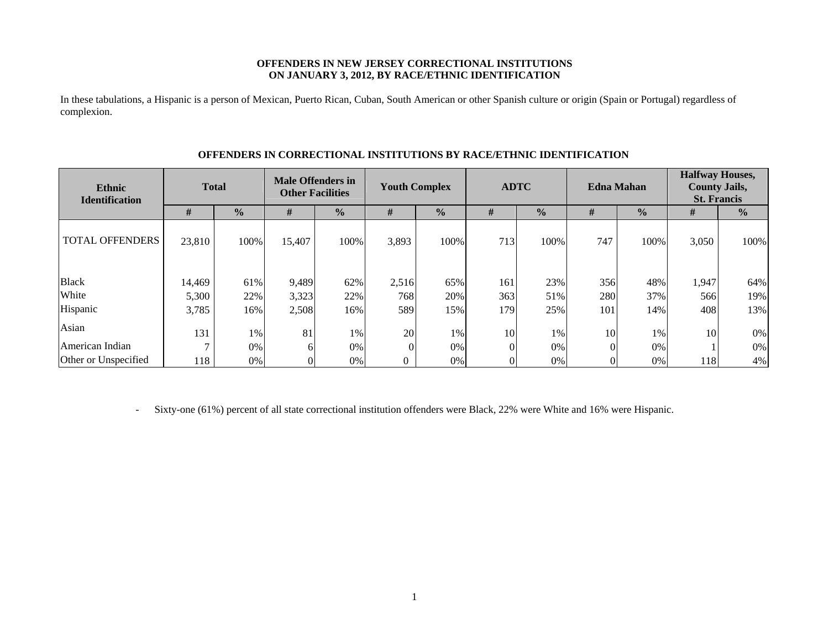### **OFFENDERS IN NEW JERSEY CORRECTIONAL INSTITUTIONS ON JANUARY 3, 2012, BY RACE/ETHNIC IDENTIFICATION**

In these tabulations, a Hispanic is a person of Mexican, Puerto Rican, Cuban, South American or other Spanish culture or origin (Spain or Portugal) regardless of complexion.

| <b>Ethnic</b><br><b>Identification</b> | <b>Total</b> |               | <b>Male Offenders in</b><br><b>Other Facilities</b> |               | <b>Youth Complex</b> |               | <b>ADTC</b> |               | <b>Edna Mahan</b> |               | <b>Halfway Houses,</b><br><b>County Jails,</b><br><b>St. Francis</b> |               |
|----------------------------------------|--------------|---------------|-----------------------------------------------------|---------------|----------------------|---------------|-------------|---------------|-------------------|---------------|----------------------------------------------------------------------|---------------|
|                                        | #            | $\frac{0}{0}$ | #                                                   | $\frac{0}{0}$ | #                    | $\frac{0}{0}$ | #           | $\frac{0}{0}$ | #                 | $\frac{0}{0}$ | #                                                                    | $\frac{0}{0}$ |
| <b>TOTAL OFFENDERS</b>                 | 23,810       | 100%          | 15,407                                              | 100%          | 3,893                | 100%          | 713         | 100%          | 747               | 100%          | 3,050                                                                | 100%          |
| <b>Black</b>                           | 14,469       | 61%           | 9,489                                               | 62%           | 2,516                | 65%           | 161         | 23%           | 356               | 48%           | 1,947                                                                | 64%           |
| White                                  | 5,300        | 22%           | 3,323                                               | 22%           | 768                  | 20%           | 363         | 51%           | 280               | 37%           | 566                                                                  | 19%           |
| Hispanic                               | 3,785        | 16%           | 2,508                                               | 16%           | 589                  | 15%           | 179         | 25%           | 101               | 14%           | 408                                                                  | 13%           |
| Asian                                  | 131          | $1\%$         | 81                                                  | 1%            | 20                   | 1%            | 10          | 1%            | 10                | 1%            | 10                                                                   | 0%            |
| American Indian                        |              | 0%            | 6                                                   | 0%            |                      | 0%            |             | 0%            |                   | 0%            |                                                                      | $0\%$         |
| Other or Unspecified                   | 118          | 0%            |                                                     | 0%            |                      | 0%            |             | 0%            |                   | 0%            | 118                                                                  | 4%            |

### **OFFENDERS IN CORRECTIONAL INSTITUTIONS BY RACE/ETHNIC IDENTIFICATION**

-Sixty-one (61%) percent of all state correctional institution offenders were Black, 22% were White and 16% were Hispanic.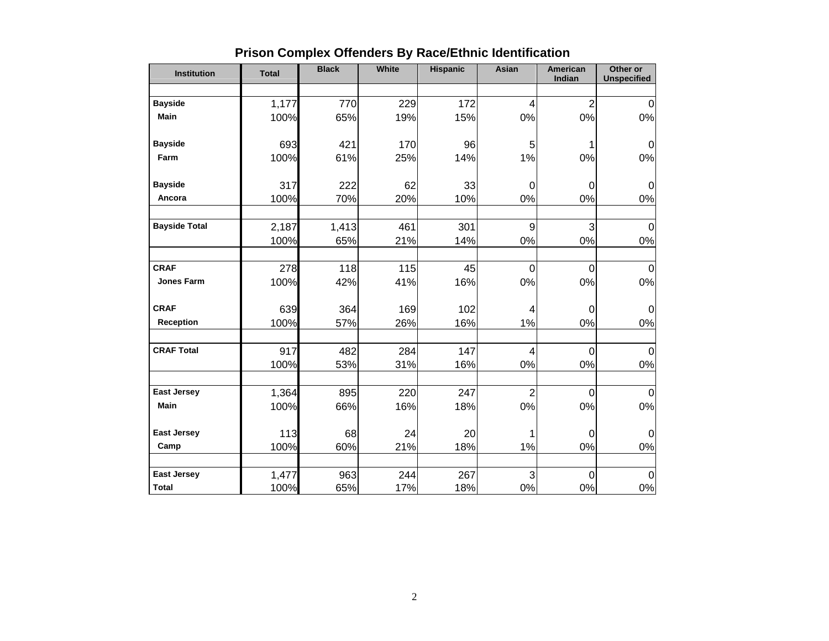| <b>Institution</b>   | <b>Total</b> | <b>Black</b> | <b>White</b> | <b>Hispanic</b> | Asian                   | American<br>Indian | Other or<br><b>Unspecified</b> |
|----------------------|--------------|--------------|--------------|-----------------|-------------------------|--------------------|--------------------------------|
|                      |              |              |              |                 |                         |                    |                                |
| <b>Bayside</b>       | 1,177        | 770          | 229          | 172             | 4                       | $\overline{2}$     | $\Omega$                       |
| <b>Main</b>          | 100%         | 65%          | 19%          | 15%             | $0\%$                   | 0%                 | 0%                             |
|                      |              |              |              |                 |                         |                    |                                |
| <b>Bayside</b>       | 693          | 421          | 170          | 96              | 5                       |                    | 0                              |
| Farm                 | 100%         | 61%          | 25%          | 14%             | 1%                      | 0%                 | $0\%$                          |
|                      |              |              |              |                 |                         |                    |                                |
| <b>Bayside</b>       | 317          | 222          | 62           | 33              | $\mathbf 0$             | 0                  | $\Omega$                       |
| Ancora               | 100%         | 70%          | 20%          | 10%             | 0%                      | 0%                 | 0%                             |
|                      |              |              |              |                 |                         |                    |                                |
| <b>Bayside Total</b> | 2,187        | 1,413        | 461          | 301             | $\boldsymbol{9}$        | 3                  | $\Omega$                       |
|                      | 100%         | 65%          | 21%          | 14%             | $0\%$                   | 0%                 | 0%                             |
|                      |              |              |              |                 |                         |                    |                                |
| <b>CRAF</b>          | 278          | 118          | 115          | 45              | $\boldsymbol{0}$        | $\mathbf 0$        | $\mathbf 0$                    |
| <b>Jones Farm</b>    | 100%         | 42%          | 41%          | 16%             | 0%                      | 0%                 | $0\%$                          |
| <b>CRAF</b>          |              |              |              |                 |                         |                    |                                |
| Reception            | 639          | 364          | 169          | 102             | 4                       | 0                  | 0<br>0%                        |
|                      | 100%         | 57%          | 26%          | 16%             | 1%                      | 0%                 |                                |
| <b>CRAF Total</b>    | 917          | 482          | 284          | 147             | $\overline{\mathbf{4}}$ | $\overline{0}$     | $\Omega$                       |
|                      | 100%         | 53%          | 31%          | 16%             | $0\%$                   | 0%                 | 0%                             |
|                      |              |              |              |                 |                         |                    |                                |
| <b>East Jersey</b>   | 1,364        | 895          | 220          | 247             | $\overline{2}$          | $\Omega$           | $\Omega$                       |
| Main                 | 100%         | 66%          | 16%          | 18%             | $0\%$                   | 0%                 | 0%                             |
|                      |              |              |              |                 |                         |                    |                                |
| <b>East Jersey</b>   | 113          | 68           | 24           | 20              | 1                       | 0                  | 0                              |
| Camp                 | 100%         | 60%          | 21%          | 18%             | 1%                      | 0%                 | 0%                             |
|                      |              |              |              |                 |                         |                    |                                |
| <b>East Jersey</b>   | 1,477        | 963          | 244          | 267             | 3                       | $\mathbf 0$        | $\overline{0}$                 |
| <b>Total</b>         | 100%         | 65%          | 17%          | 18%             | $0\%$                   | 0%                 | $0\%$                          |

# **Prison Complex Offenders By Race/Ethnic Identification**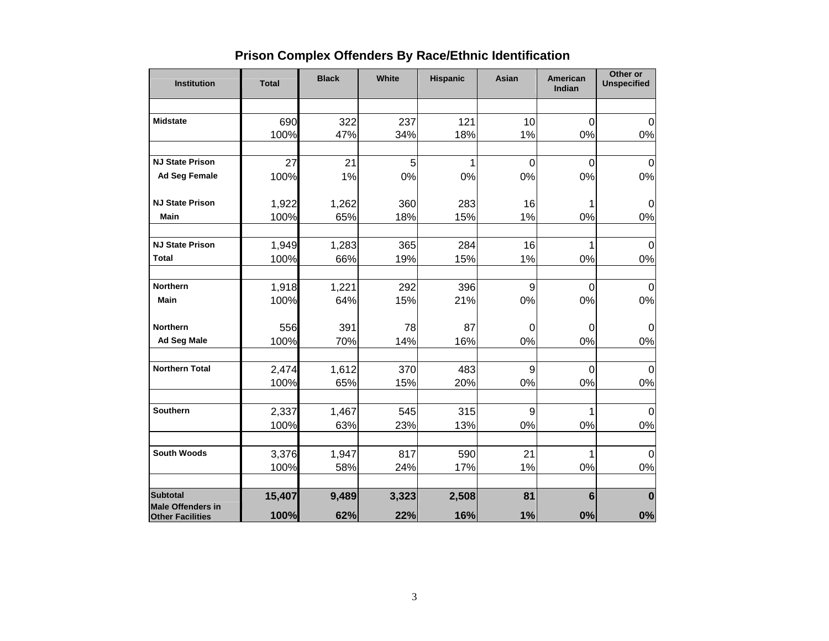|  |  | <b>Prison Complex Offenders By Race/Ethnic Identification</b> |  |
|--|--|---------------------------------------------------------------|--|
|--|--|---------------------------------------------------------------|--|

| <b>Institution</b>                                  | <b>Total</b> | <b>Black</b> | White | <b>Hispanic</b> | Asian          | American<br>Indian | Other or<br><b>Unspecified</b> |
|-----------------------------------------------------|--------------|--------------|-------|-----------------|----------------|--------------------|--------------------------------|
|                                                     |              |              |       |                 |                |                    |                                |
| <b>Midstate</b>                                     | 690          | 322          | 237   | 121             | 10             | $\mathbf 0$        | $\mathbf 0$                    |
|                                                     | 100%         | 47%          | 34%   | 18%             | 1%             | 0%                 | 0%                             |
| <b>NJ State Prison</b>                              | 27           | 21           | 5     | 1               | $\overline{0}$ | $\overline{0}$     | $\overline{0}$                 |
| <b>Ad Seg Female</b>                                | 100%         | 1%           | 0%    | 0%              | 0%             | 0%                 | 0%                             |
| <b>NJ State Prison</b>                              | 1,922        | 1,262        | 360   | 283             | 16             | 1                  | $\mathbf 0$                    |
| Main                                                | 100%         | 65%          | 18%   | 15%             | 1%             | 0%                 | 0%                             |
|                                                     |              |              |       |                 |                |                    |                                |
| <b>NJ State Prison</b>                              | 1,949        | 1,283        | 365   | 284             | 16             | 1                  | $\Omega$                       |
| <b>Total</b>                                        | 100%         | 66%          | 19%   | 15%             | 1%             | 0%                 | 0%                             |
| <b>Northern</b>                                     | 1,918        | 1,221        | 292   | 396             | 9              | $\overline{0}$     | $\mathbf 0$                    |
| <b>Main</b>                                         | 100%         | 64%          | 15%   | 21%             | 0%             | 0%                 | 0%                             |
| <b>Northern</b>                                     | 556          | 391          | 78    | 87              | $\mathbf 0$    | $\mathbf 0$        | $\mathbf 0$                    |
| <b>Ad Seg Male</b>                                  | 100%         | 70%          | 14%   | 16%             | 0%             | 0%                 | 0%                             |
| <b>Northern Total</b>                               | 2,474        | 1,612        | 370   | 483             | 9              | $\mathbf 0$        | $\mathbf 0$                    |
|                                                     | 100%         | 65%          | 15%   | 20%             | 0%             | 0%                 | 0%                             |
| <b>Southern</b>                                     | 2,337        | 1,467        | 545   | 315             | 9              | 1                  | $\mathbf 0$                    |
|                                                     | 100%         | 63%          | 23%   | 13%             | 0%             | 0%                 | 0%                             |
| <b>South Woods</b>                                  | 3,376        | 1,947        | 817   | 590             | 21             | 1                  | $\Omega$                       |
|                                                     | 100%         | 58%          | 24%   | 17%             | 1%             | 0%                 | 0%                             |
| <b>Subtotal</b>                                     | 15,407       | 9,489        | 3,323 | 2,508           | 81             | $6\phantom{1}$     | $\bf{0}$                       |
| <b>Male Offenders in</b><br><b>Other Facilities</b> | 100%         | 62%          | 22%   | 16%             | 1%             | 0%                 | 0%                             |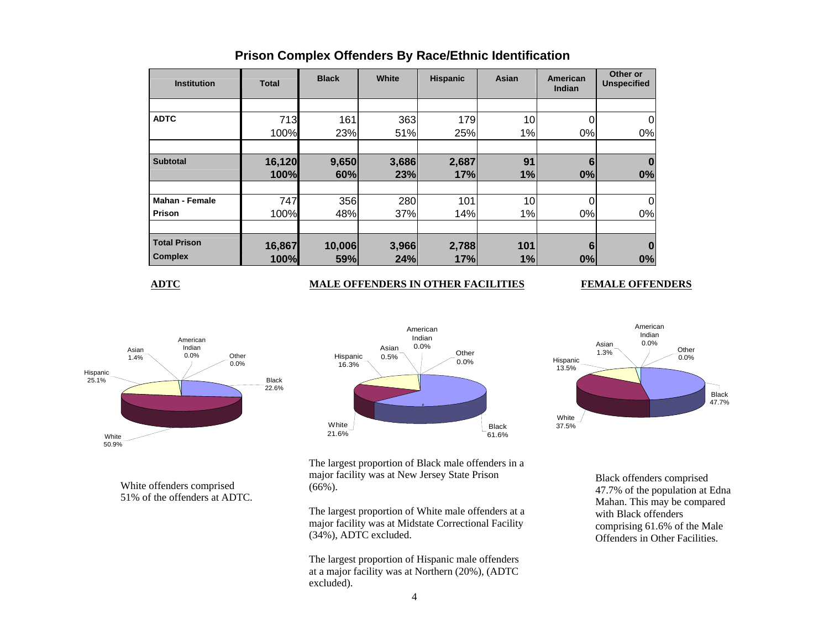| <b>Institution</b>    | Total  | <b>Black</b> | White | <b>Hispanic</b> | Asian | American<br>Indian | Other or<br><b>Unspecified</b> |
|-----------------------|--------|--------------|-------|-----------------|-------|--------------------|--------------------------------|
|                       |        |              |       |                 |       |                    |                                |
| <b>ADTC</b>           | 713    | 161          | 363   | 179             | 10    | 0                  |                                |
|                       | 100%   | 23%          | 51%   | 25%             | 1%    | 0%                 | 0%                             |
|                       |        |              |       |                 |       |                    |                                |
| <b>Subtotal</b>       | 16,120 | 9,650        | 3,686 | 2,687           | 91    | 6                  |                                |
|                       | 100%   | 60%          | 23%   | 17%             | 1%    | 0%                 | 0%                             |
|                       |        |              |       |                 |       |                    |                                |
| <b>Mahan - Female</b> | 747    | 356          | 280   | 101             | 10    |                    | 0                              |
| Prison                | 100%   | 48%          | 37%   | 14%             | 1%    | 0%                 | 0%                             |
|                       |        |              |       |                 |       |                    |                                |
| <b>Total Prison</b>   | 16,867 | 10,006       | 3,966 | 2,788           | 101   | 6                  |                                |
| <b>Complex</b>        | 100%   | 59%          | 24%   | 17%             | 1%    | 0%                 | 0%                             |

## **Prison Complex Offenders By Race/Ethnic Identification**

**ADTC**

### **MALE OFFENDERS IN OTHER FACILITIES FEMALE OFFENDERS**



White offenders comprised 51% of the offenders at ADTC.





The largest proportion of Black male offenders in a major facility was at New Jersey State Prison (66%).

The largest proportion of White male offenders at a major facility was at Midstate Correctional Facility (34%), ADTC excluded.

The largest proportion of Hispanic male offenders at a major facility was at Northern (20%), (ADTC excluded).

Black offenders comprised 47.7% of the population at Edna Mahan. This may be compared with Black offenders comprising 61.6% of the Male Offenders in Other Facilities.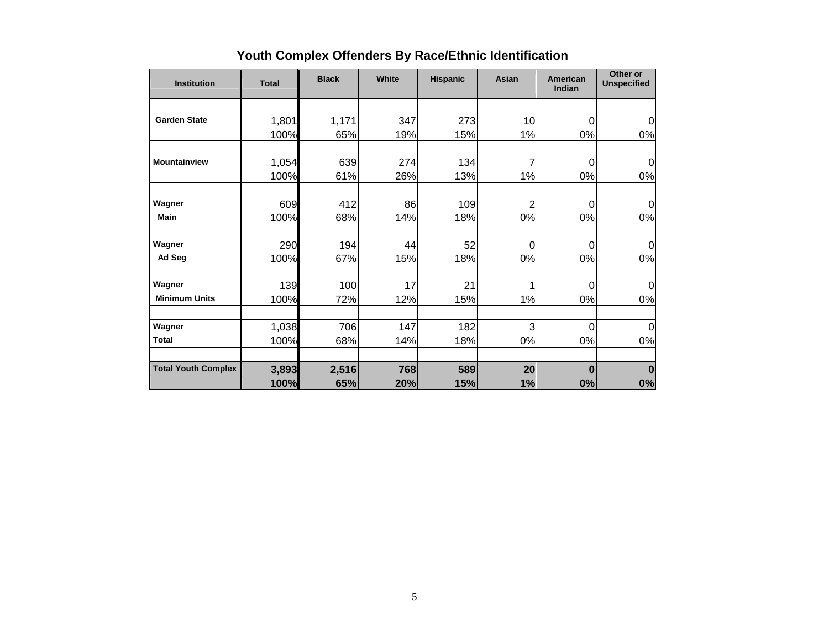| <b>Institution</b>         | <b>Total</b> | <b>Black</b> | White | <b>Hispanic</b> | Asian          | American<br>Indian | Other or<br><b>Unspecified</b> |
|----------------------------|--------------|--------------|-------|-----------------|----------------|--------------------|--------------------------------|
|                            |              |              |       |                 |                |                    |                                |
| <b>Garden State</b>        | 1,801        | 1,171        | 347   | 273             | 10             | 0                  | $\Omega$                       |
|                            | 100%         | 65%          | 19%   | 15%             | 1%             | 0%                 | 0%                             |
| <b>Mountainview</b>        | 1,054        | 639          | 274   | 134             | 7              | 0                  | $\overline{0}$                 |
|                            | 100%         | 61%          | 26%   | 13%             | 1%             | 0%                 | 0%                             |
| Wagner                     | 609          | 412          | 86    | 109             | $\overline{2}$ | $\mathbf 0$        | 0                              |
| <b>Main</b>                | 100%         | 68%          | 14%   | 18%             | 0%             | 0%                 | 0%                             |
| Wagner                     | 290          | 194          | 44    | 52              | $\Omega$       | $\Omega$           | $\Omega$                       |
| Ad Seg                     | 100%         | 67%          | 15%   | 18%             | 0%             | 0%                 | 0%                             |
| Wagner                     | 139          | 100          | 17    | 21              |                | $\Omega$           | $\Omega$                       |
| <b>Minimum Units</b>       | 100%         | 72%          | 12%   | 15%             | 1%             | 0%                 | 0%                             |
| Wagner                     | 1,038        | 706          | 147   | 182             | 3              | 0                  | $\Omega$                       |
| <b>Total</b>               | 100%         | 68%          | 14%   | 18%             | 0%             | 0%                 | 0%                             |
| <b>Total Youth Complex</b> | 3,893        | 2,516        | 768   | 589             | 20             | 0                  | $\bf{0}$                       |
|                            | 100%         | 65%          | 20%   | 15%             | 1%             | 0%                 | 0%                             |

# **Youth Complex Offenders By Race/Ethnic Identification**